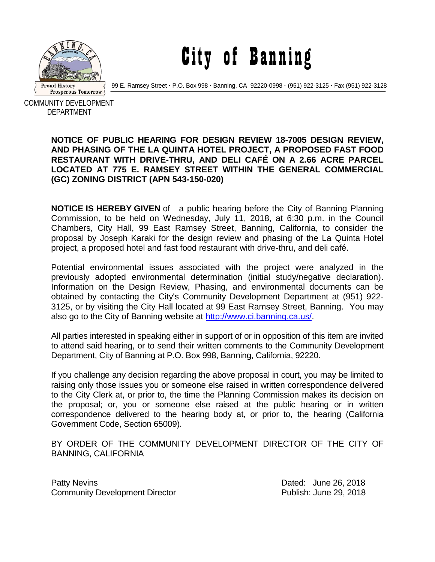

City of Banning

99 E. Ramsey Street **·** P.O. Box 998 **·** Banning, CA 92220-0998 **·** (951) 922-3125 **·** Fax (951) 922-3128

COMMUNITY DEVELOPMENT DEPARTMENT

## **NOTICE OF PUBLIC HEARING FOR DESIGN REVIEW 18-7005 DESIGN REVIEW, AND PHASING OF THE LA QUINTA HOTEL PROJECT, A PROPOSED FAST FOOD RESTAURANT WITH DRIVE-THRU, AND DELI CAFÉ ON A 2.66 ACRE PARCEL LOCATED AT 775 E. RAMSEY STREET WITHIN THE GENERAL COMMERCIAL (GC) ZONING DISTRICT (APN 543-150-020)**

**NOTICE IS HEREBY GIVEN** of a public hearing before the City of Banning Planning Commission, to be held on Wednesday, July 11, 2018, at 6:30 p.m. in the Council Chambers, City Hall, 99 East Ramsey Street, Banning, California, to consider the proposal by Joseph Karaki for the design review and phasing of the La Quinta Hotel project, a proposed hotel and fast food restaurant with drive-thru, and deli café.

Potential environmental issues associated with the project were analyzed in the previously adopted environmental determination (initial study/negative declaration). Information on the Design Review, Phasing, and environmental documents can be obtained by contacting the City's Community Development Department at (951) 922- 3125, or by visiting the City Hall located at 99 East Ramsey Street, Banning. You may also go to the City of Banning website at [http://www.ci.banning.ca.us/.](http://www.ci.banning.ca.us/)

All parties interested in speaking either in support of or in opposition of this item are invited to attend said hearing, or to send their written comments to the Community Development Department, City of Banning at P.O. Box 998, Banning, California, 92220.

If you challenge any decision regarding the above proposal in court, you may be limited to raising only those issues you or someone else raised in written correspondence delivered to the City Clerk at, or prior to, the time the Planning Commission makes its decision on the proposal; or, you or someone else raised at the public hearing or in written correspondence delivered to the hearing body at, or prior to, the hearing (California Government Code, Section 65009).

BY ORDER OF THE COMMUNITY DEVELOPMENT DIRECTOR OF THE CITY OF BANNING, CALIFORNIA

Patty Nevins **Patty News** 2018 Community Development Director Publish: June 29, 2018